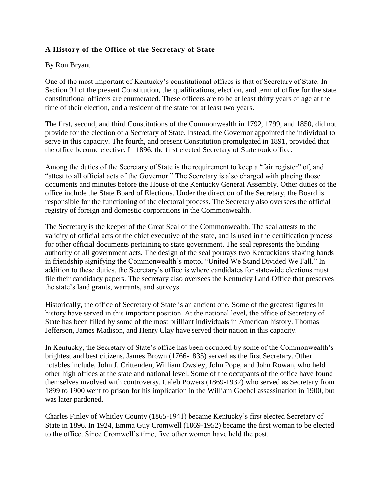## **A History of the Office of the Secretary of State**

## By Ron Bryant

One of the most important of Kentucky's constitutional offices is that of Secretary of State. In Section 91 of the present Constitution, the qualifications, election, and term of office for the state constitutional officers are enumerated. These officers are to be at least thirty years of age at the time of their election, and a resident of the state for at least two years.

The first, second, and third Constitutions of the Commonwealth in 1792, 1799, and 1850, did not provide for the election of a Secretary of State. Instead, the Governor appointed the individual to serve in this capacity. The fourth, and present Constitution promulgated in 1891, provided that the office become elective. In 1896, the first elected Secretary of State took office.

Among the duties of the Secretary of State is the requirement to keep a "fair register" of, and "attest to all official acts of the Governor." The Secretary is also charged with placing those documents and minutes before the House of the Kentucky General Assembly. Other duties of the office include the State Board of Elections. Under the direction of the Secretary, the Board is responsible for the functioning of the electoral process. The Secretary also oversees the official registry of foreign and domestic corporations in the Commonwealth.

The Secretary is the keeper of the Great Seal of the Commonwealth. The seal attests to the validity of official acts of the chief executive of the state, and is used in the certification process for other official documents pertaining to state government. The seal represents the binding authority of all government acts. The design of the seal portrays two Kentuckians shaking hands in friendship signifying the Commonwealth's motto, "United We Stand Divided We Fall." In addition to these duties, the Secretary's office is where candidates for statewide elections must file their candidacy papers. The secretary also oversees the Kentucky Land Office that preserves the state's land grants, warrants, and surveys.

Historically, the office of Secretary of State is an ancient one. Some of the greatest figures in history have served in this important position. At the national level, the office of Secretary of State has been filled by some of the most brilliant individuals in American history. Thomas Jefferson, James Madison, and Henry Clay have served their nation in this capacity.

In Kentucky, the Secretary of State's office has been occupied by some of the Commonwealth's brightest and best citizens. James Brown (1766-1835) served as the first Secretary. Other notables include, John J. Crittenden, William Owsley, John Pope, and John Rowan, who held other high offices at the state and national level. Some of the occupants of the office have found themselves involved with controversy. Caleb Powers (1869-1932) who served as Secretary from 1899 to 1900 went to prison for his implication in the William Goebel assassination in 1900, but was later pardoned.

Charles Finley of Whitley County (1865-1941) became Kentucky's first elected Secretary of State in 1896. In 1924, Emma Guy Cromwell (1869-1952) became the first woman to be elected to the office. Since Cromwell's time, five other women have held the post.